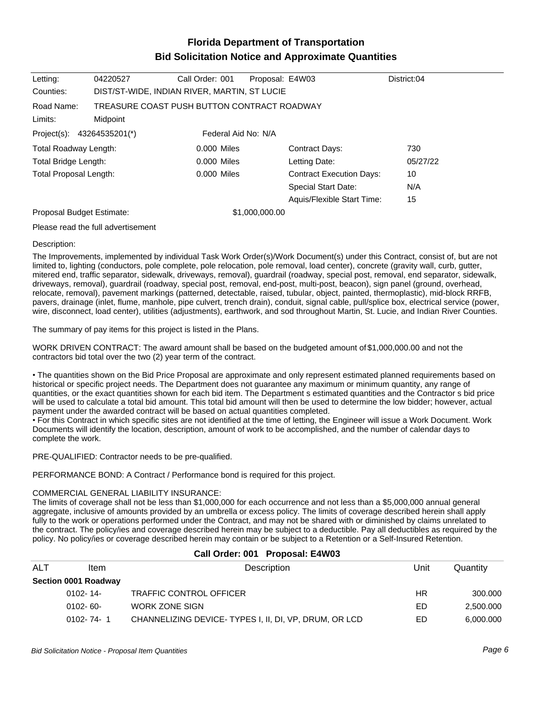# **Florida Department of Transportation Bid Solicitation Notice and Approximate Quantities**

| Letting:                      | 04220527                                                | Call Order: 001     | Proposal: E4W03 |                                 | District:04 |
|-------------------------------|---------------------------------------------------------|---------------------|-----------------|---------------------------------|-------------|
| Counties:                     | DIST/ST-WIDE, INDIAN RIVER, MARTIN, ST LUCIE            |                     |                 |                                 |             |
| Road Name:<br>Limits:         | TREASURE COAST PUSH BUTTON CONTRACT ROADWAY<br>Midpoint |                     |                 |                                 |             |
| Project(s):                   | 43264535201(*)                                          | Federal Aid No: N/A |                 |                                 |             |
| Total Roadway Length:         |                                                         | 0.000 Miles         |                 | Contract Days:                  | 730         |
| Total Bridge Length:          |                                                         | 0.000 Miles         |                 | Letting Date:                   | 05/27/22    |
| <b>Total Proposal Length:</b> |                                                         | 0.000 Miles         |                 | <b>Contract Execution Days:</b> | 10          |
|                               |                                                         |                     |                 | Special Start Date:             | N/A         |
|                               |                                                         |                     |                 | Aquis/Flexible Start Time:      | 15          |
| Proposal Budget Estimate:     |                                                         |                     | \$1,000,000.00  |                                 |             |
|                               |                                                         |                     |                 |                                 |             |

Please read the full advertisement

#### Description:

The Improvements, implemented by individual Task Work Order(s)/Work Document(s) under this Contract, consist of, but are not limited to, lighting (conductors, pole complete, pole relocation, pole removal, load center), concrete (gravity wall, curb, gutter, mitered end, traffic separator, sidewalk, driveways, removal), guardrail (roadway, special post, removal, end separator, sidewalk, driveways, removal), guardrail (roadway, special post, removal, end-post, multi-post, beacon), sign panel (ground, overhead, relocate, removal), pavement markings (patterned, detectable, raised, tubular, object, painted, thermoplastic), mid-block RRFB, pavers, drainage (inlet, flume, manhole, pipe culvert, trench drain), conduit, signal cable, pull/splice box, electrical service (power, wire, disconnect, load center), utilities (adjustments), earthwork, and sod throughout Martin, St. Lucie, and Indian River Counties.

The summary of pay items for this project is listed in the Plans.

WORK DRIVEN CONTRACT: The award amount shall be based on the budgeted amount of \$1,000,000.00 and not the contractors bid total over the two (2) year term of the contract.

The quantities shown on the Bid Price Proposal are approximate and only represent estimated planned requirements based on historical or specific project needs. The Department does not guarantee any maximum or minimum quantity, any range of quantities, or the exact quantities shown for each bid item. The Department s estimated quantities and the Contractor s bid price will be used to calculate a total bid amount. This total bid amount will then be used to determine the low bidder; however, actual payment under the awarded contract will be based on actual quantities completed.

For this Contract in which specific sites are not identified at the time of letting, the Engineer will issue a Work Document. Work Documents will identify the location, description, amount of work to be accomplished, and the number of calendar days to complete the work.

PRE-QUALIFIED: Contractor needs to be pre-qualified.

PERFORMANCE BOND: A Contract / Performance bond is required for this project.

### COMMERCIAL GENERAL LIABILITY INSURANCE:

The limits of coverage shall not be less than \$1,000,000 for each occurrence and not less than a \$5,000,000 annual general aggregate, inclusive of amounts provided by an umbrella or excess policy. The limits of coverage described herein shall apply fully to the work or operations performed under the Contract, and may not be shared with or diminished by claims unrelated to the contract. The policy/ies and coverage described herein may be subject to a deductible. Pay all deductibles as required by the policy. No policy/ies or coverage described herein may contain or be subject to a Retention or a Self-Insured Retention.

| Call Order: 001 Proposal: E4W03 |      |             |      |          |  |  |
|---------------------------------|------|-------------|------|----------|--|--|
| ALT                             | Item | Description | Unit | Quantity |  |  |

| Section 0001 Roadway |                                                       |    |           |
|----------------------|-------------------------------------------------------|----|-----------|
| 0102-14-             | TRAFFIC CONTROL OFFICER                               | HR | 300.000   |
| $0102 - 60 -$        | WORK ZONE SIGN                                        | ED | 2,500.000 |
| $0102 - 74 - 1$      | CHANNELIZING DEVICE-TYPES I, II, DI, VP, DRUM, OR LCD | ED | 6.000.000 |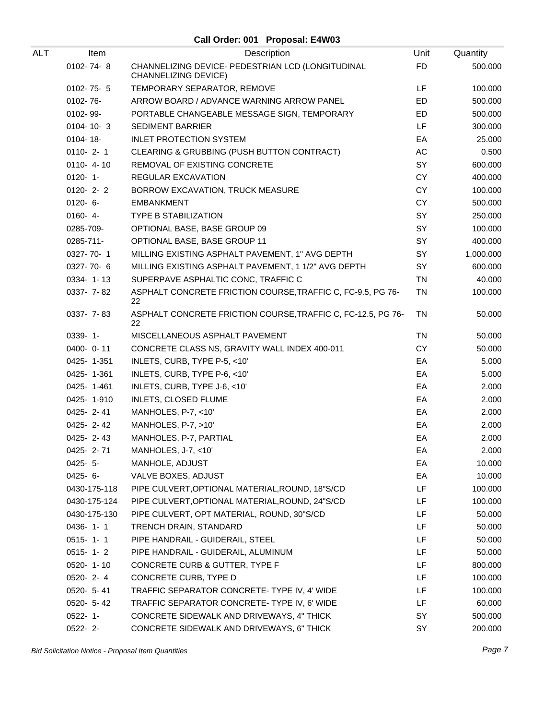| ALT | Item            | Description                                                               | Unit      | Quantity  |
|-----|-----------------|---------------------------------------------------------------------------|-----------|-----------|
|     | 0102-74-8       | CHANNELIZING DEVICE- PEDESTRIAN LCD (LONGITUDINAL<br>CHANNELIZING DEVICE) | <b>FD</b> | 500.000   |
|     | $0102 - 75 - 5$ | TEMPORARY SEPARATOR, REMOVE                                               | LF        | 100.000   |
|     | 0102-76-        | ARROW BOARD / ADVANCE WARNING ARROW PANEL                                 | ED        | 500.000   |
|     | 0102-99-        | PORTABLE CHANGEABLE MESSAGE SIGN, TEMPORARY                               | ED        | 500.000   |
|     | $0104 - 10 - 3$ | <b>SEDIMENT BARRIER</b>                                                   | LF        | 300.000   |
|     | 0104-18-        | <b>INLET PROTECTION SYSTEM</b>                                            | EA        | 25.000    |
|     | $0110 - 2 - 1$  | CLEARING & GRUBBING (PUSH BUTTON CONTRACT)                                | AC        | 0.500     |
|     | $0110 - 4 - 10$ | REMOVAL OF EXISTING CONCRETE                                              | SY        | 600.000   |
|     | $0120 - 1$      | REGULAR EXCAVATION                                                        | CY        | 400.000   |
|     | $0120 - 2 - 2$  | BORROW EXCAVATION, TRUCK MEASURE                                          | <b>CY</b> | 100.000   |
|     | $0120 - 6 -$    | <b>EMBANKMENT</b>                                                         | <b>CY</b> | 500.000   |
|     | $0160 - 4 -$    | <b>TYPE B STABILIZATION</b>                                               | SY        | 250.000   |
|     | 0285-709-       | OPTIONAL BASE, BASE GROUP 09                                              | SY        | 100.000   |
|     | 0285-711-       | OPTIONAL BASE, BASE GROUP 11                                              | SY        | 400.000   |
|     | 0327-70-1       | MILLING EXISTING ASPHALT PAVEMENT, 1" AVG DEPTH                           | SY        | 1,000.000 |
|     | 0327-70-6       | MILLING EXISTING ASPHALT PAVEMENT, 1 1/2" AVG DEPTH                       | SY        | 600.000   |
|     | 0334-1-13       | SUPERPAVE ASPHALTIC CONC, TRAFFIC C                                       | <b>TN</b> | 40.000    |
|     | 0337-7-82       | ASPHALT CONCRETE FRICTION COURSE, TRAFFIC C, FC-9.5, PG 76-<br>22         | <b>TN</b> | 100.000   |
|     | 0337- 7-83      | ASPHALT CONCRETE FRICTION COURSE, TRAFFIC C, FC-12.5, PG 76-<br>22        | <b>TN</b> | 50.000    |
|     | $0339 - 1 -$    | MISCELLANEOUS ASPHALT PAVEMENT                                            | <b>TN</b> | 50.000    |
|     | 0400-0-11       | CONCRETE CLASS NS, GRAVITY WALL INDEX 400-011                             | <b>CY</b> | 50.000    |
|     | 0425-1-351      | INLETS, CURB, TYPE P-5, <10'                                              | EA        | 5.000     |
|     | 0425-1-361      | INLETS, CURB, TYPE P-6, <10'                                              | EA        | 5.000     |
|     | 0425-1-461      | INLETS, CURB, TYPE J-6, <10'                                              | EA        | 2.000     |
|     | 0425-1-910      | INLETS, CLOSED FLUME                                                      | EA        | 2.000     |
|     | $0425 - 2 - 41$ | MANHOLES, P-7, <10'                                                       | EA        | 2.000     |
|     | 0425-2-42       | MANHOLES, P-7, >10'                                                       | EA        | 2.000     |
|     | $0425 - 2 - 43$ | MANHOLES, P-7, PARTIAL                                                    | EA        | 2.000     |
|     | $0425 - 2 - 71$ | MANHOLES, J-7, <10'                                                       | EA        | 2.000     |
|     | $0425 - 5$      | MANHOLE, ADJUST                                                           | EA        | 10.000    |
|     | $0425 - 6 -$    | VALVE BOXES, ADJUST                                                       | EA        | 10.000    |
|     | 0430-175-118    | PIPE CULVERT, OPTIONAL MATERIAL, ROUND, 18"S/CD                           | LF        | 100.000   |
|     | 0430-175-124    | PIPE CULVERT, OPTIONAL MATERIAL, ROUND, 24"S/CD                           | LF        | 100.000   |
|     | 0430-175-130    | PIPE CULVERT, OPT MATERIAL, ROUND, 30"S/CD                                | LF        | 50.000    |
|     | $0436 - 1 - 1$  | TRENCH DRAIN, STANDARD                                                    | LF        | 50.000    |
|     | $0515 - 1 - 1$  | PIPE HANDRAIL - GUIDERAIL, STEEL                                          | LF        | 50.000    |
|     | $0515 - 1 - 2$  | PIPE HANDRAIL - GUIDERAIL, ALUMINUM                                       | LF        | 50.000    |
|     | $0520 - 1 - 10$ | CONCRETE CURB & GUTTER, TYPE F                                            | LF        | 800.000   |
|     | $0520 - 2 - 4$  | CONCRETE CURB, TYPE D                                                     | LF        | 100.000   |
|     | $0520 - 5 - 41$ | TRAFFIC SEPARATOR CONCRETE- TYPE IV, 4' WIDE                              | LF        | 100.000   |
|     | $0520 - 5 - 42$ | TRAFFIC SEPARATOR CONCRETE- TYPE IV, 6' WIDE                              | LF        | 60.000    |
|     | $0522 - 1$ -    | CONCRETE SIDEWALK AND DRIVEWAYS, 4" THICK                                 | SY        | 500.000   |
|     | $0522 - 2 -$    | CONCRETE SIDEWALK AND DRIVEWAYS, 6" THICK                                 | SY        | 200.000   |

Bid Solicitation Notice - Proposal Item Quantities **Page 7** and the set of the set of the set of the set of the set of the set of the set of the set of the set of the set of the set of the set of the set of the set of the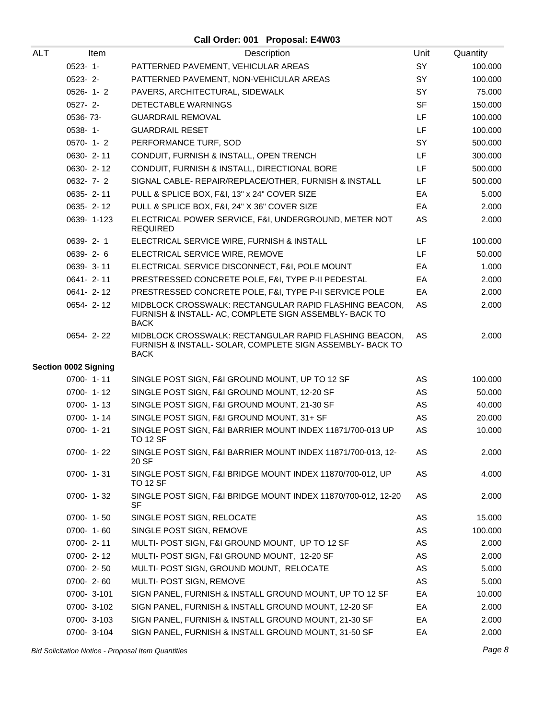| ALT | Item                        | Description                                                                                                                        | Unit      | Quantity |
|-----|-----------------------------|------------------------------------------------------------------------------------------------------------------------------------|-----------|----------|
|     | $0523 - 1 -$                | PATTERNED PAVEMENT, VEHICULAR AREAS                                                                                                | SY        | 100.000  |
|     | $0523 - 2 -$                | PATTERNED PAVEMENT, NON-VEHICULAR AREAS                                                                                            | SY        | 100.000  |
|     | $0526 - 1 - 2$              | PAVERS, ARCHITECTURAL, SIDEWALK                                                                                                    | <b>SY</b> | 75.000   |
|     | $0527 - 2 -$                | DETECTABLE WARNINGS                                                                                                                | <b>SF</b> | 150.000  |
|     | 0536-73-                    | <b>GUARDRAIL REMOVAL</b>                                                                                                           | LF        | 100.000  |
|     | $0538 - 1$ -                | <b>GUARDRAIL RESET</b>                                                                                                             | LF        | 100.000  |
|     | $0570 - 1 - 2$              | PERFORMANCE TURF, SOD                                                                                                              | SY        | 500.000  |
|     | 0630-2-11                   | CONDUIT, FURNISH & INSTALL, OPEN TRENCH                                                                                            | LF        | 300.000  |
|     | 0630-2-12                   | CONDUIT, FURNISH & INSTALL, DIRECTIONAL BORE                                                                                       | LF        | 500.000  |
|     | $0632 - 7 - 2$              | SIGNAL CABLE- REPAIR/REPLACE/OTHER, FURNISH & INSTALL                                                                              | LF.       | 500.000  |
|     | 0635-2-11                   | PULL & SPLICE BOX, F&I, 13" x 24" COVER SIZE                                                                                       | EA        | 5.000    |
|     | 0635-2-12                   | PULL & SPLICE BOX, F&I, 24" X 36" COVER SIZE                                                                                       | EA        | 2.000    |
|     | 0639-1-123                  | ELECTRICAL POWER SERVICE, F&I, UNDERGROUND, METER NOT<br><b>REQUIRED</b>                                                           | AS        | 2.000    |
|     | 0639-2-1                    | ELECTRICAL SERVICE WIRE, FURNISH & INSTALL                                                                                         | LF        | 100.000  |
|     | 0639-2-6                    | ELECTRICAL SERVICE WIRE, REMOVE                                                                                                    | LF        | 50.000   |
|     | 0639-3-11                   | ELECTRICAL SERVICE DISCONNECT, F&I, POLE MOUNT                                                                                     | EA        | 1.000    |
|     | 0641-2-11                   | PRESTRESSED CONCRETE POLE, F&I, TYPE P-II PEDESTAL                                                                                 | EA        | 2.000    |
|     | $0641 - 2 - 12$             | PRESTRESSED CONCRETE POLE, F&I, TYPE P-II SERVICE POLE                                                                             | EA        | 2.000    |
|     | 0654-2-12                   | MIDBLOCK CROSSWALK: RECTANGULAR RAPID FLASHING BEACON,<br>FURNISH & INSTALL- AC, COMPLETE SIGN ASSEMBLY- BACK TO<br><b>BACK</b>    | AS        | 2.000    |
|     | $0654 - 2 - 22$             | MIDBLOCK CROSSWALK: RECTANGULAR RAPID FLASHING BEACON,<br>FURNISH & INSTALL- SOLAR, COMPLETE SIGN ASSEMBLY- BACK TO<br><b>BACK</b> | AS        | 2.000    |
|     | <b>Section 0002 Signing</b> |                                                                                                                                    |           |          |
|     | $0700 - 1 - 11$             | SINGLE POST SIGN, F&I GROUND MOUNT, UP TO 12 SF                                                                                    | AS        | 100.000  |
|     | $0700 - 1 - 12$             | SINGLE POST SIGN, F&I GROUND MOUNT, 12-20 SF                                                                                       | AS        | 50.000   |
|     | 0700-1-13                   | SINGLE POST SIGN, F&I GROUND MOUNT, 21-30 SF                                                                                       | AS        | 40.000   |
|     | 0700-1-14                   | SINGLE POST SIGN, F&I GROUND MOUNT, 31+ SF                                                                                         | AS        | 20.000   |
|     | $0700 - 1 - 21$             | SINGLE POST SIGN, F&I BARRIER MOUNT INDEX 11871/700-013 UP<br><b>TO 12 SF</b>                                                      | AS        | 10.000   |
|     | 0700-1-22                   | SINGLE POST SIGN, F&I BARRIER MOUNT INDEX 11871/700-013, 12-<br>20 SF                                                              | AS        | 2.000    |
|     | 0700-1-31                   | SINGLE POST SIGN, F&I BRIDGE MOUNT INDEX 11870/700-012, UP<br><b>TO 12 SF</b>                                                      | AS        | 4.000    |
|     | $0700 - 1 - 32$             | SINGLE POST SIGN, F&I BRIDGE MOUNT INDEX 11870/700-012, 12-20<br>SF                                                                | AS        | 2.000    |
|     | $0700 - 1 - 50$             | SINGLE POST SIGN, RELOCATE                                                                                                         | AS        | 15.000   |
|     | 0700-1-60                   | SINGLE POST SIGN, REMOVE                                                                                                           | AS        | 100.000  |
|     | 0700-2-11                   | MULTI- POST SIGN, F&I GROUND MOUNT, UP TO 12 SF                                                                                    | AS        | 2.000    |
|     | $0700 - 2 - 12$             | MULTI- POST SIGN, F&I GROUND MOUNT, 12-20 SF                                                                                       | AS        | 2.000    |
|     | 0700-2-50                   | MULTI- POST SIGN, GROUND MOUNT, RELOCATE                                                                                           | AS        | 5.000    |
|     | 0700-2-60                   | MULTI- POST SIGN, REMOVE                                                                                                           | AS        | 5.000    |
|     | 0700-3-101                  | SIGN PANEL, FURNISH & INSTALL GROUND MOUNT, UP TO 12 SF                                                                            | EA        | 10.000   |
|     | 0700-3-102                  | SIGN PANEL, FURNISH & INSTALL GROUND MOUNT, 12-20 SF                                                                               | EA        | 2.000    |
|     | 0700-3-103                  | SIGN PANEL, FURNISH & INSTALL GROUND MOUNT, 21-30 SF                                                                               | EA        | 2.000    |
|     | 0700-3-104                  | SIGN PANEL, FURNISH & INSTALL GROUND MOUNT, 31-50 SF                                                                               | EA        | 2.000    |

Bid Solicitation Notice - Proposal Item Quantities **Page 8** and the set of the set of the set of the set of the set of the set of the set of the set of the set of the set of the set of the set of the set of the set of the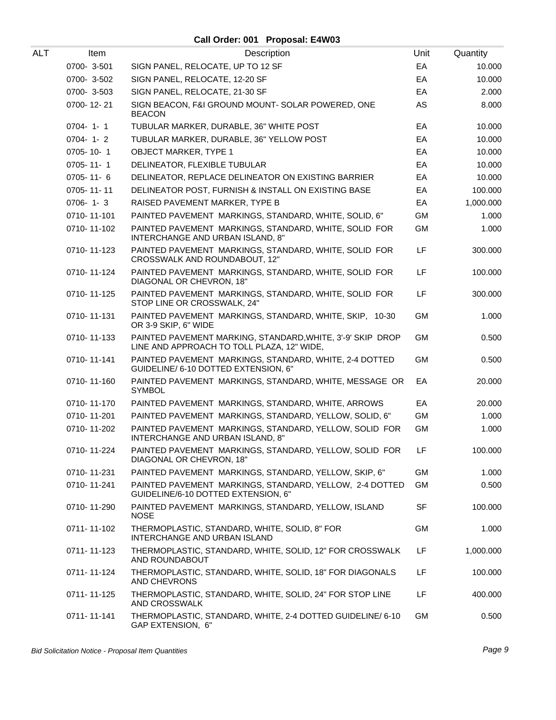| ALT | Item           | Description                                                                                              | Unit      | Quantity  |
|-----|----------------|----------------------------------------------------------------------------------------------------------|-----------|-----------|
|     | 0700-3-501     | SIGN PANEL, RELOCATE, UP TO 12 SF                                                                        | EA        | 10.000    |
|     | 0700-3-502     | SIGN PANEL, RELOCATE, 12-20 SF                                                                           | EA        | 10.000    |
|     | 0700-3-503     | SIGN PANEL, RELOCATE, 21-30 SF                                                                           | EA        | 2.000     |
|     | 0700-12-21     | SIGN BEACON, F&I GROUND MOUNT- SOLAR POWERED, ONE<br><b>BEACON</b>                                       | AS        | 8.000     |
|     | $0704 - 1 - 1$ | TUBULAR MARKER, DURABLE, 36" WHITE POST                                                                  | EA        | 10.000    |
|     | $0704 - 1 - 2$ | TUBULAR MARKER, DURABLE, 36" YELLOW POST                                                                 | EA        | 10.000    |
|     | 0705-10-1      | <b>OBJECT MARKER, TYPE 1</b>                                                                             | EA        | 10.000    |
|     | 0705-11-1      | DELINEATOR, FLEXIBLE TUBULAR                                                                             | EA        | 10.000    |
|     | 0705-11-6      | DELINEATOR, REPLACE DELINEATOR ON EXISTING BARRIER                                                       | EA        | 10.000    |
|     | 0705-11-11     | DELINEATOR POST, FURNISH & INSTALL ON EXISTING BASE                                                      | EA        | 100.000   |
|     | $0706 - 1 - 3$ | RAISED PAVEMENT MARKER, TYPE B                                                                           | EA        | 1,000.000 |
|     | 0710-11-101    | PAINTED PAVEMENT MARKINGS, STANDARD, WHITE, SOLID, 6"                                                    | <b>GM</b> | 1.000     |
|     | 0710-11-102    | PAINTED PAVEMENT MARKINGS, STANDARD, WHITE, SOLID FOR<br>INTERCHANGE AND URBAN ISLAND, 8"                | <b>GM</b> | 1.000     |
|     | 0710-11-123    | PAINTED PAVEMENT MARKINGS, STANDARD, WHITE, SOLID FOR<br>CROSSWALK AND ROUNDABOUT, 12"                   | LF        | 300.000   |
|     | 0710-11-124    | PAINTED PAVEMENT MARKINGS, STANDARD, WHITE, SOLID FOR<br>DIAGONAL OR CHEVRON, 18"                        | LF        | 100.000   |
|     | 0710-11-125    | PAINTED PAVEMENT MARKINGS, STANDARD, WHITE, SOLID FOR<br>STOP LINE OR CROSSWALK, 24"                     | LF        | 300.000   |
|     | 0710-11-131    | PAINTED PAVEMENT MARKINGS, STANDARD, WHITE, SKIP, 10-30<br>OR 3-9 SKIP, 6" WIDE                          | <b>GM</b> | 1.000     |
|     | 0710-11-133    | PAINTED PAVEMENT MARKING, STANDARD, WHITE, 3'-9' SKIP DROP<br>LINE AND APPROACH TO TOLL PLAZA, 12" WIDE, | <b>GM</b> | 0.500     |
|     | 0710-11-141    | PAINTED PAVEMENT MARKINGS, STANDARD, WHITE, 2-4 DOTTED<br>GUIDELINE/ 6-10 DOTTED EXTENSION, 6"           | <b>GM</b> | 0.500     |
|     | 0710-11-160    | PAINTED PAVEMENT MARKINGS, STANDARD, WHITE, MESSAGE OR<br><b>SYMBOL</b>                                  | EA        | 20.000    |
|     | 0710-11-170    | PAINTED PAVEMENT MARKINGS, STANDARD, WHITE, ARROWS                                                       | EA        | 20.000    |
|     | 0710-11-201    | PAINTED PAVEMENT MARKINGS, STANDARD, YELLOW, SOLID, 6"                                                   | <b>GM</b> | 1.000     |
|     | 0710-11-202    | PAINTED PAVEMENT MARKINGS, STANDARD, YELLOW, SOLID FOR<br>INTERCHANGE AND URBAN ISLAND, 8"               | GM        | 1.000     |
|     | 0710-11-224    | PAINTED PAVEMENT MARKINGS, STANDARD, YELLOW, SOLID FOR<br>DIAGONAL OR CHEVRON, 18"                       | LF        | 100.000   |
|     | 0710-11-231    | PAINTED PAVEMENT MARKINGS, STANDARD, YELLOW, SKIP, 6"                                                    | GM        | 1.000     |
|     | 0710-11-241    | PAINTED PAVEMENT MARKINGS, STANDARD, YELLOW, 2-4 DOTTED<br>GUIDELINE/6-10 DOTTED EXTENSION, 6"           | <b>GM</b> | 0.500     |
|     | 0710-11-290    | PAINTED PAVEMENT MARKINGS, STANDARD, YELLOW, ISLAND<br><b>NOSE</b>                                       | <b>SF</b> | 100.000   |
|     | 0711-11-102    | THERMOPLASTIC, STANDARD, WHITE, SOLID, 8" FOR<br>INTERCHANGE AND URBAN ISLAND                            | GM        | 1.000     |
|     | 0711-11-123    | THERMOPLASTIC, STANDARD, WHITE, SOLID, 12" FOR CROSSWALK<br>AND ROUNDABOUT                               | LF        | 1,000.000 |
|     | 0711-11-124    | THERMOPLASTIC, STANDARD, WHITE, SOLID, 18" FOR DIAGONALS<br>AND CHEVRONS                                 | LF        | 100.000   |
|     | 0711-11-125    | THERMOPLASTIC, STANDARD, WHITE, SOLID, 24" FOR STOP LINE<br>AND CROSSWALK                                | <b>LF</b> | 400.000   |
|     | 0711-11-141    | THERMOPLASTIC, STANDARD, WHITE, 2-4 DOTTED GUIDELINE/ 6-10<br>GAP EXTENSION, 6"                          | GM.       | 0.500     |